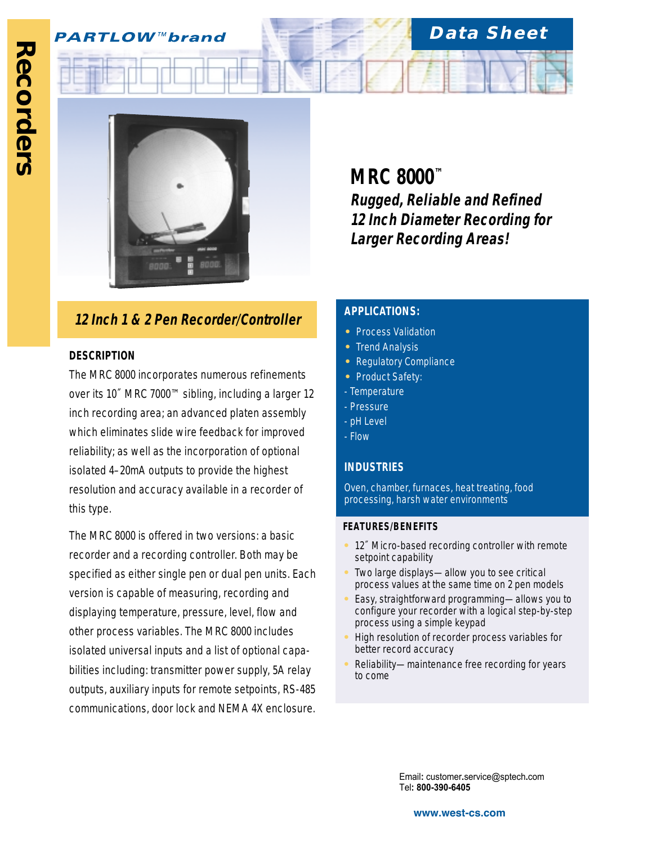## **PARTLOW™brand**



# **12 Inch 1 & 2 Pen Recorder/Controller APPLICATIONS:**

### **DESCRIPTION**

The MRC 8000 incorporates numerous refinements over its 10˝ MRC 7000™ sibling, including a larger 12 inch recording area; an advanced platen assembly which eliminates slide wire feedback for improved reliability; as well as the incorporation of optional isolated 4–20mA outputs to provide the highest resolution and accuracy available in a recorder of this type.

The MRC 8000 is offered in two versions: a basic recorder and a recording controller. Both may be specified as either single pen or dual pen units. Each version is capable of measuring, recording and displaying temperature, pressure, level, flow and other process variables. The MRC 8000 includes isolated universal inputs and a list of optional capabilities including: transmitter power supply, 5A relay outputs, auxiliary inputs for remote setpoints, RS-485 communications, door lock and NEMA 4X enclosure.

**MRC 8000™ Rugged, Reliable and Refined 12 Inch Diameter Recording for Larger Recording Areas!**

**Data Sheet**

- **•** Process Validation
- **•** Trend Analysis
- **•** Regulatory Compliance
- **•** Product Safety:
- Temperature
- Pressure
- pH Level
- Flow

### **INDUSTRIES**

Oven, chamber, furnaces, heat treating, food processing, harsh water environments

#### **FEATURES/BENEFITS**

- **•** 12˝ Micro-based recording controller with remote setpoint capability
- **•** Two large displays—allow you to see critical process values at the same time on 2 pen models
- **•** Easy, straightforward programming—allows you to configure your recorder with a logical step-by-step process using a simple keypad
- **•** High resolution of recorder process variables for better record accuracy
- **•** Reliability—maintenance free recording for years to come

Email**:** customer**.**service@sptech**.**com Tel**: 800-390-6405**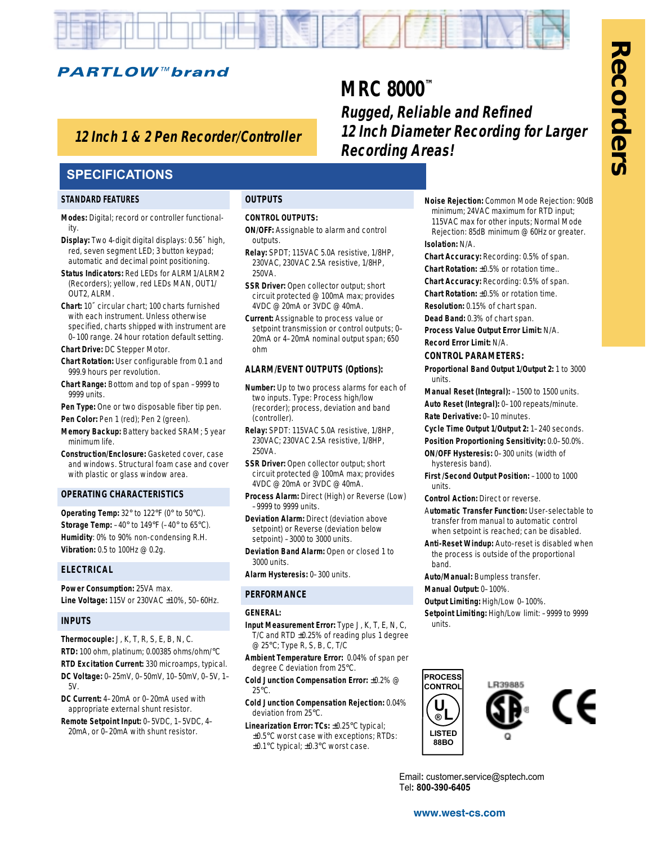

## **12 Inch 1 & 2 Pen Recorder/Controller**

## **SPECIFICATIONS**

#### **STANDARD FEATURES**

- **Modes:** Digital; record or controller functionality.
- **Display:** Two 4-digit digital displays: 0.56˝ high, red, seven segment LED; 3 button keypad; automatic and decimal point positioning.
- **Status Indicators:** Red LEDs for ALRM1/ALRM2 (Recorders); yellow, red LEDs MAN, OUT1/ OUT2, ALRM.
- **Chart:** 10˝ circular chart; 100 charts furnished with each instrument. Unless otherwise specified, charts shipped with instrument are 0–100 range. 24 hour rotation default setting.
- **Chart Drive:** DC Stepper Motor.
- **Chart Rotation:** User configurable from 0.1 and 999.9 hours per revolution.
- **Chart Range:** Bottom and top of span –9999 to 9999 units.
- **Pen Type:** One or two disposable fiber tip pen. Pen Color: Pen 1 (red); Pen 2 (green).
- **Memory Backup:** Battery backed SRAM; 5 year minimum life.
- **Construction/Enclosure:** Gasketed cover, case and windows. Structural foam case and cover with plastic or glass window area.

#### **OPERATING CHARACTERISTICS**

**Operating Temp:** 32° to 122°F (0° to 50°C). **Storage Temp:** –40° to 149°F (–40° to 65°C). **Humidity**: 0% to 90% non-condensing R.H. **Vibration:** 0.5 to 100Hz @ 0.2g.

#### **ELECTRICAL**

**Power Consumption:** 25VA max. **Line Voltage:** 115V or 230VAC ±10%, 50–60Hz.

#### **INPUTS**

- **Thermocouple:** J, K, T, R, S, E, B, N, C. **RTD:** 100 ohm, platinum; 0.00385 ohms/ohm/°C **RTD Excitation Current:** 330 microamps, typical. **DC Voltage:** 0–25mV, 0–50mV, 10–50mV, 0–5V, 1–
- 5V. **DC Current:** 4–20mA or 0–20mA used with appropriate external shunt resistor.
- **Remote Setpoint Input:** 0–5VDC, 1–5VDC, 4– 20mA, or 0–20mA with shunt resistor.

#### **OUTPUTS**

#### **CONTROL OUTPUTS:**

**ON/OFF:** Assignable to alarm and control outputs.

**MRC 8000™**

**Recording Areas!**

**Rugged, Reliable and Refined**

**12 Inch Diameter Recording for Larger**

- **Relay:** SPDT; 115VAC 5.0A resistive, 1/8HP, 230VAC, 230VAC 2.5A resistive, 1/8HP, 250VA.
- **SSR Driver:** Open collector output; short circuit protected @ 100mA max; provides 4VDC @ 20mA or 3VDC @ 40mA.
- **Current:** Assignable to process value or setpoint transmission or control outputs; 0– 20mA or 4–20mA nominal output span; 650 ohm

#### **ALARM/EVENT OUTPUTS (Options):**

- **Number:** Up to two process alarms for each of two inputs. Type: Process high/low (recorder); process, deviation and band (controller).
- **Relay:** SPDT: 115VAC 5.0A resistive, 1/8HP, 230VAC; 230VAC 2.5A resistive, 1/8HP, 250VA.
- **SSR Driver:** Open collector output; short circuit protected @ 100mA max; provides 4VDC @ 20mA or 3VDC @ 40mA.
- **Process Alarm:** Direct (High) or Reverse (Low) –9999 to 9999 units.
- **Deviation Alarm:** Direct (deviation above setpoint) or Reverse (deviation below setpoint) –3000 to 3000 units.
- **Deviation Band Alarm:** Open or closed 1 to 3000 units.
- **Alarm Hysteresis:** 0–300 units.

#### **PERFORMANCE**

#### **GENERAL:**

- **Input Measurement Error:** Type J, K, T, E, N, C, T/C and RTD ±0.25% of reading plus 1 degree @ 25°C; Type R, S, B, C, T/C
- **Ambient Temperature Error:** 0.04% of span per degree C deviation from 25°C.
- **Cold Junction Compensation Error:** ±0.2% @ 25°C.
- **Cold Junction Compensation Rejection:** 0.04% deviation from 25°C.
- **Linearization Error: TCs:** ±0.25°C typical; ±0.5°C worst case with exceptions; RTDs: ±0.1°C typical; ±0.3°C worst case.

**Noise Rejection:** Common Mode Rejection: 90dB minimum; 24VAC maximum for RTD input; 115VAC max for other inputs; Normal Mode Rejection: 85dB minimum @ 60Hz or greater. **Isolation:** N/A.

**Chart Accuracy:** Recording: 0.5% of span.

**Chart Rotation:** ±0.5% or rotation time..

**Chart Accuracy:** Recording: 0.5% of span.

- **Chart Rotation:** ±0.5% or rotation time.
- **Resolution:** 0.15% of chart span. **Dead Band:** 0.3% of chart span.
- **Process Value Output Error Limit:** N/A.
- **Record Error Limit:** N/A.
- 

#### **CONTROL PARAMETERS:**

- **Proportional Band Output 1/Output 2:** 1 to 3000 units.
- **Manual Reset (Integral):** –1500 to 1500 units. **Auto Reset (Integral):** 0–100 repeats/minute. **Rate Derivative:** 0–10 minutes.
- **Cycle Time Output 1/Output 2:** 1–240 seconds.
- **Position Proportioning Sensitivity:** 0.0–50.0%. **ON/OFF Hysteresis:** 0–300 units (width of
- hysteresis band).
- **First /Second Output Position:** –1000 to 1000 units.
- **Control Action:** Direct or reverse.
- A**utomatic Transfer Function:** User-selectable to transfer from manual to automatic control when setpoint is reached; can be disabled.
- **Anti-Reset Windup:** Auto-reset is disabled when the process is outside of the proportional band.

**Auto/Manual:** Bumpless transfer.

- **Manual Output:** 0–100%.
- **Output Limiting:** High/Low 0–100%.
- **Setpoint Limiting:** High/Low limit: –9999 to 9999 units.



Email**:** customer**.**service@sptech**.**com Tel**: 800-390-6405**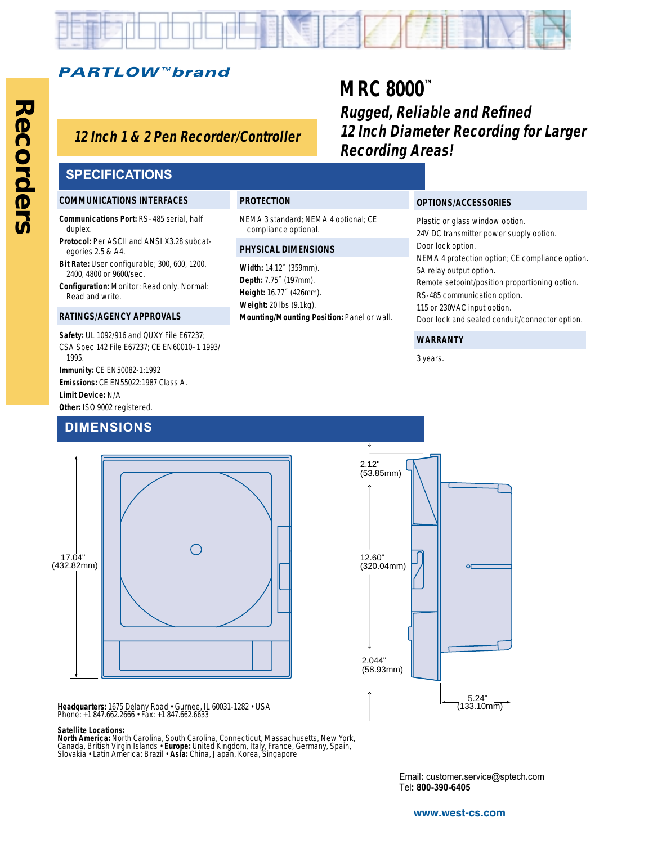

NEMA 3 standard; NEMA 4 optional; CE

**Mounting/Mounting Position:** Panel or wall.

**PROTECTION**

compliance optional. **PHYSICAL DIMENSIONS Width:** 14.12˝ (359mm). **Depth:** 7.75˝ (197mm). **Height:** 16.77˝ (426mm). **Weight:** 20 lbs (9.1kg).

## **PARTLOW™brand**

## **Hollowshaft, Incremental Encoders 12 Inch 1 & 2 Pen Recorder/Controller**

# **MRC 8000™**

**Rugged, Reliable and Refined 12 Inch Diameter Recording for Larger Recording Areas!**

## **SPECIFICATIONS**

#### **COMMUNICATIONS INTERFACES**

**Communications Port:** RS–485 serial, half duplex.

- **Protocol:** Per ASCII and ANSI X3.28 subcategories 2.5 & A4.
- **Bit Rate:** User configurable; 300, 600, 1200, 2400, 4800 or 9600/sec.
- **Configuration:** Monitor: Read only. Normal: Read and write.

#### **RATINGS/AGENCY APPROVALS**

**Safety:** UL 1092/916 and QUXY File E67237; CSA Spec 142 File E67237; CE EN60010–1 1993/ 1995. **Immunity:** CE EN50082-1:1992

**Emissions:** CE EN55022:1987 Class A. **Limit Device:** N/A **Other:** ISO 9002 registered.

## **DIMENSIONS**



**Headquarters:** 1675 Delany Road • Gurnee, IL 60031-1282 • USA Phone: +1 847.662.2666 • Fax: +1 847.662.6633

#### **Satellite Locations:**

**North America:** North Carolina, South Carolina, Connecticut, Massachusetts, New York,<br>Canada, British Virgin Islands • **Europe:** United Kingdom, Italy, France, Germany, Spain,<br>Slovakia • Latin America: Brazil • **Asia:** Ch

### **OPTIONS/ACCESSORIES** Plastic or glass window option.

24V DC transmitter power supply option. Door lock option. NEMA 4 protection option; CE compliance option. 5A relay output option. Remote setpoint/position proportioning option. RS-485 communication option. 115 or 230VAC input option. Door lock and sealed conduit/connector option.

#### **WARRANTY**

3 years.

5.24" (133.10mm) 2.12" (53.85mm) 12.60" (320.04mm) 2.044" (58.93mm)

> Email**:** customer**.**service@sptech**.**com Tel**: 800-390-6405**